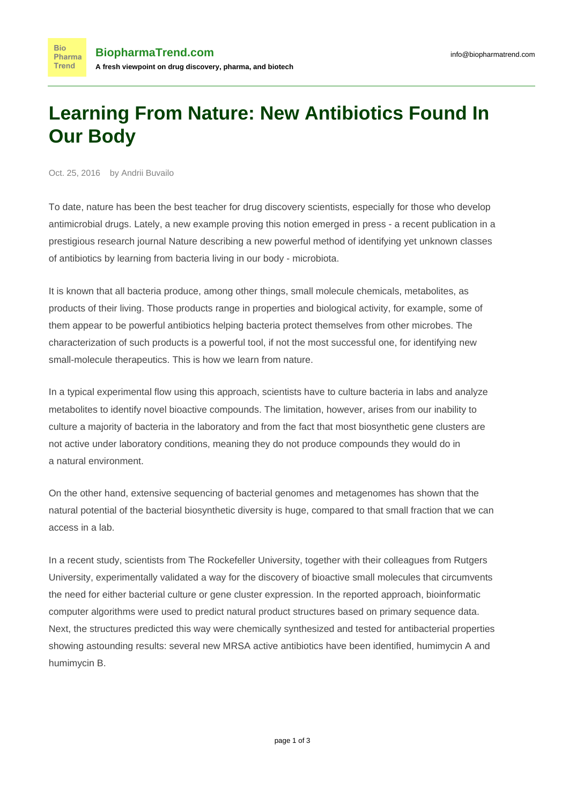## **Learning From Nature: New Antibiotics Found In Our Body**

Oct. 25, 2016 by Andrii Buvailo

**Bio** Pharma **Trend** 

To date, nature has been the best teacher for drug discovery scientists, especially for those who develop antimicrobial drugs. Lately, a new example proving this notion emerged in press - a recent publication in a prestigious research journal [Nature](http://www.nature.com/nchembio/journal/vaop/ncurrent/full/nchembio.2207.html#figures) describing a new powerful method of identifying yet unknown classes of antibiotics by learning from bacteria living in our body - microbiota.

It is known that all bacteria produce, among other things, small molecule chemicals, metabolites, as products of their living. Those products range in properties and biological activity, for example, some of them appear to be powerful antibiotics helping bacteria protect themselves from other microbes. The characterization of such products is a powerful tool, if not the most successful one, for identifying new small-molecule therapeutics. This is how we learn from nature.

In a typical experimental flow using this approach, scientists have to culture bacteria in labs and analyze metabolites to identify novel bioactive compounds. The limitation, however, arises from our inability to culture a majority of bacteria in the laboratory and from the fact that most biosynthetic gene clusters are not active under laboratory conditions, meaning they do not produce compounds they would do in a natural environment.

On the other hand, extensive sequencing of bacterial genomes and metagenomes has shown that the natural potential of the bacterial biosynthetic diversity is huge, compared to that small fraction that we can access in a lab.

In a recent study, scientists from The Rockefeller University, together with their colleagues from Rutgers University, experimentally validated a way for the discovery of bioactive small molecules that circumvents the need for either bacterial culture or gene cluster expression. In the reported approach, bioinformatic computer algorithms were used to predict natural product structures based on primary sequence data. Next, the structures predicted this way were chemically synthesized and tested for antibacterial properties showing astounding results: several new MRSA active antibiotics have been identified, humimycin A and humimycin B.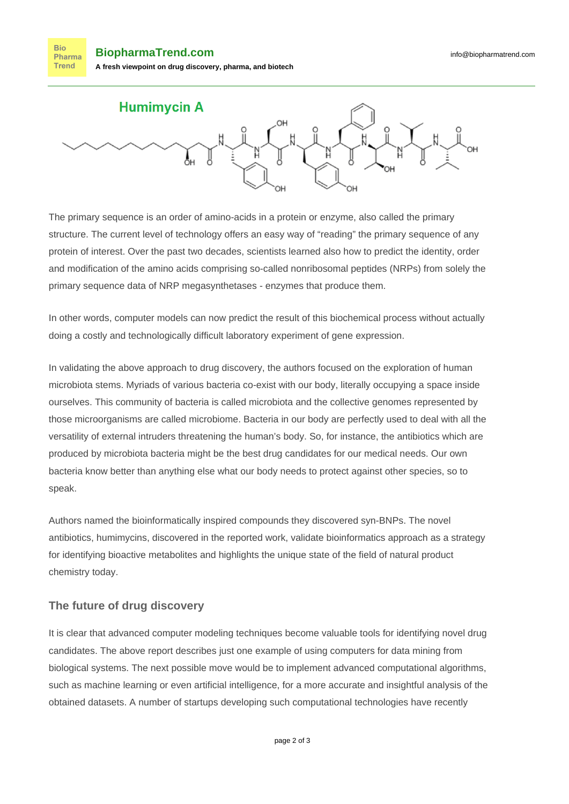**Bio BiopharmaTrend.com** Pharma Trend **A fresh viewpoint on drug discovery, pharma, and biotech**



The primary sequence is an order of amino-acids in a protein or enzyme, also called the primary structure. The current level of technology offers an easy way of "reading" the primary sequence of any protein of interest. Over the past two decades, scientists learned also how to predict the identity, order and modification of the amino acids comprising so-called nonribosomal peptides (NRPs) from solely the primary sequence data of NRP megasynthetases - enzymes that produce them.

In other words, computer models can now predict the result of this biochemical process without actually doing a costly and technologically difficult laboratory experiment of gene expression.

In validating the above approach to drug discovery, the authors focused on the exploration of human microbiota stems. Myriads of various bacteria co-exist with our body, literally occupying a space inside ourselves. This community of bacteria is called microbiota and the collective [genomes](https://en.wikipedia.org/wiki/Genomes) represented by those microorganisms are called microbiome. Bacteria in our body are perfectly used to deal with all the versatility of external intruders threatening the human's body. So, for instance, the antibiotics which are produced by microbiota bacteria might be the best drug candidates for our medical needs. Our own bacteria know better than anything else what our body needs to protect against other species, so to speak.

Authors named the bioinformatically inspired compounds they discovered syn-BNPs. The novel antibiotics, humimycins, discovered in the reported work, validate bioinformatics approach as a strategy for identifying bioactive metabolites and highlights the unique state of the field of natural product chemistry today.

## **The future of drug discovery**

It is clear that advanced computer modeling techniques become valuable tools for identifying novel drug candidates. The above report describes just one example of using computers for data mining from biological systems. The next possible move would be to implement advanced computational algorithms, such as machine learning or even artificial intelligence, for a more accurate and insightful analysis of the obtained datasets. A [number of startups](http://www.chemcommerce.org/post/20-artificial-intelligence-helps-find-new-drugs-better-faster-cheaper/) developing such computational technologies have recently